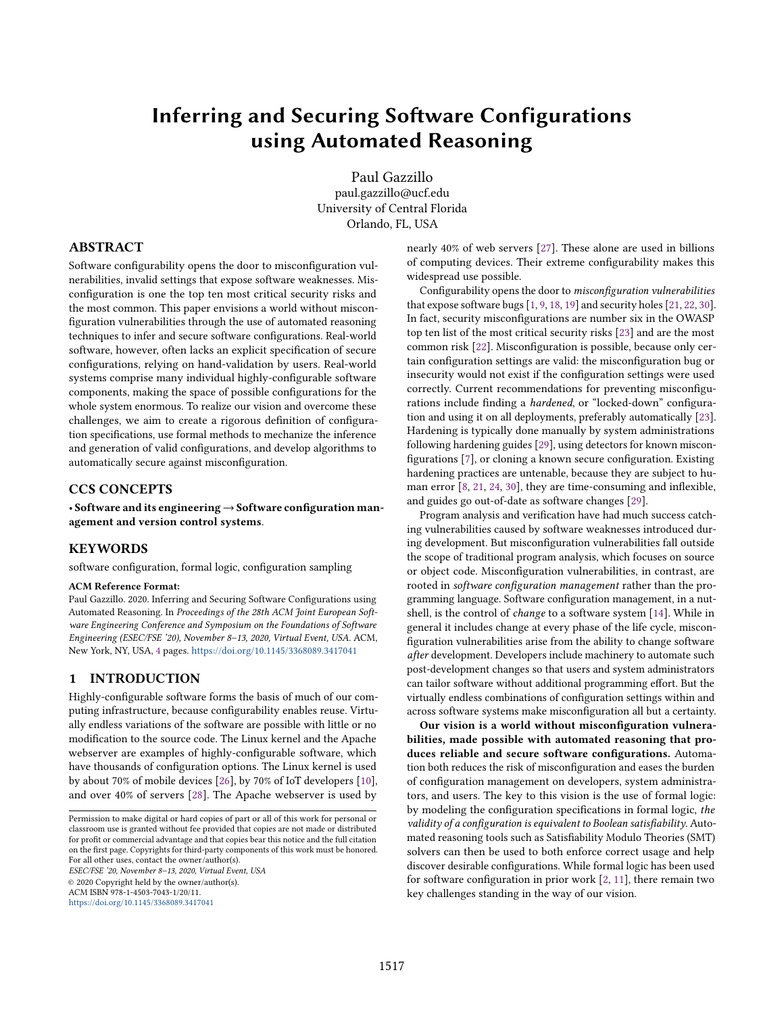# Inferring and Securing Software Configurations using Automated Reasoning

Paul Gazzillo paul.gazzillo@ucf.edu University of Central Florida Orlando, FL, USA

# ABSTRACT

Software configurability opens the door to misconfiguration vulnerabilities, invalid settings that expose software weaknesses. Misconfiguration is one the top ten most critical security risks and the most common. This paper envisions a world without misconfiguration vulnerabilities through the use of automated reasoning techniques to infer and secure software configurations. Real-world software, however, often lacks an explicit specification of secure configurations, relying on hand-validation by users. Real-world systems comprise many individual highly-configurable software components, making the space of possible configurations for the whole system enormous. To realize our vision and overcome these challenges, we aim to create a rigorous definition of configuration specifications, use formal methods to mechanize the inference and generation of valid configurations, and develop algorithms to automatically secure against misconfiguration.

#### CCS CONCEPTS

• Software and its engineering→Software configuration management and version control systems.

# **KEYWORDS**

software configuration, formal logic, configuration sampling

#### ACM Reference Format:

Paul Gazzillo. 2020. Inferring and Securing Software Configurations using Automated Reasoning. In Proceedings of the 28th ACM Joint European Software Engineering Conference and Symposium on the Foundations of Software Engineering (ESEC/FSE '20), November 8–13, 2020, Virtual Event, USA. ACM, New York, NY, USA, [4](#page-3-0) pages. <https://doi.org/10.1145/3368089.3417041>

#### 1 INTRODUCTION

Highly-configurable software forms the basis of much of our computing infrastructure, because configurability enables reuse. Virtually endless variations of the software are possible with little or no modification to the source code. The Linux kernel and the Apache webserver are examples of highly-configurable software, which have thousands of configuration options. The Linux kernel is used by about 70% of mobile devices [\[26\]](#page-3-1), by 70% of IoT developers [\[10\]](#page-3-2), and over 40% of servers [\[28\]](#page-3-3). The Apache webserver is used by

ESEC/FSE '20, November 8–13, 2020, Virtual Event, USA © 2020 Copyright held by the owner/author(s). ACM ISBN 978-1-4503-7043-1/20/11.

<https://doi.org/10.1145/3368089.3417041>

nearly 40% of web servers [\[27\]](#page-3-4). These alone are used in billions of computing devices. Their extreme configurability makes this widespread use possible.

Configurability opens the door to misconfiguration vulnerabilities that expose software bugs [\[1,](#page-3-5) [9,](#page-3-6) [18,](#page-3-7) [19\]](#page-3-8) and security holes [\[21,](#page-3-9) [22,](#page-3-10) [30\]](#page-3-11). In fact, security misconfigurations are number six in the OWASP top ten list of the most critical security risks [\[23\]](#page-3-12) and are the most common risk [\[22\]](#page-3-10). Misconfiguration is possible, because only certain configuration settings are valid: the misconfiguration bug or insecurity would not exist if the configuration settings were used correctly. Current recommendations for preventing misconfigurations include finding a hardened, or "locked-down" configuration and using it on all deployments, preferably automatically [\[23\]](#page-3-12). Hardening is typically done manually by system administrations following hardening guides [\[29\]](#page-3-13), using detectors for known misconfigurations [\[7\]](#page-3-14), or cloning a known secure configuration. Existing hardening practices are untenable, because they are subject to human error [\[8,](#page-3-15) [21,](#page-3-9) [24,](#page-3-16) [30\]](#page-3-11), they are time-consuming and inflexible, and guides go out-of-date as software changes [\[29\]](#page-3-13).

Program analysis and verification have had much success catching vulnerabilities caused by software weaknesses introduced during development. But misconfiguration vulnerabilities fall outside the scope of traditional program analysis, which focuses on source or object code. Misconfiguration vulnerabilities, in contrast, are rooted in software configuration management rather than the programming language. Software configuration management, in a nutshell, is the control of change to a software system [\[14\]](#page-3-17). While in general it includes change at every phase of the life cycle, misconfiguration vulnerabilities arise from the ability to change software after development. Developers include machinery to automate such post-development changes so that users and system administrators can tailor software without additional programming effort. But the virtually endless combinations of configuration settings within and across software systems make misconfiguration all but a certainty.

Our vision is a world without misconfiguration vulnerabilities, made possible with automated reasoning that produces reliable and secure software configurations. Automation both reduces the risk of misconfiguration and eases the burden of configuration management on developers, system administrators, and users. The key to this vision is the use of formal logic: by modeling the configuration specifications in formal logic, the validity of a configuration is equivalent to Boolean satisfiability. Automated reasoning tools such as Satisfiability Modulo Theories (SMT) solvers can then be used to both enforce correct usage and help discover desirable configurations. While formal logic has been used for software configuration in prior work [\[2,](#page-3-18) [11\]](#page-3-19), there remain two key challenges standing in the way of our vision.

Permission to make digital or hard copies of part or all of this work for personal or classroom use is granted without fee provided that copies are not made or distributed for profit or commercial advantage and that copies bear this notice and the full citation on the first page. Copyrights for third-party components of this work must be honored. For all other uses, contact the owner/author(s).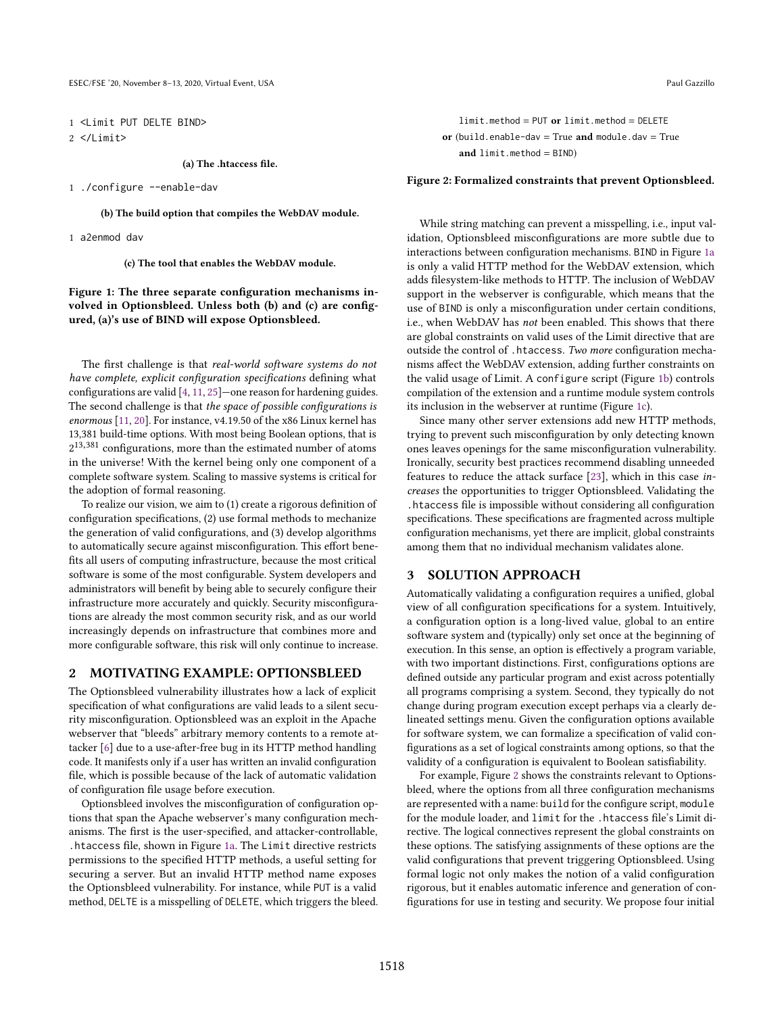<span id="page-1-0"></span>1 <Limit PUT DELTE BIND> 2 </Limit>

(a) The .htaccess file.

1 ./configure --enable-dav

(b) The build option that compiles the WebDAV module.

1 a2enmod dav

(c) The tool that enables the WebDAV module.

Figure 1: The three separate configuration mechanisms involved in Optionsbleed. Unless both (b) and (c) are configured, (a)'s use of BIND will expose Optionsbleed.

The first challenge is that real-world software systems do not have complete, explicit configuration specifications defining what configurations are valid [\[4,](#page-3-20) [11,](#page-3-19) [25\]](#page-3-21)—one reason for hardening guides. The second challenge is that the space of possible configurations is enormous [\[11,](#page-3-19) [20\]](#page-3-22). For instance, v4.19.50 of the x86 Linux kernel has 13,381 build-time options. With most being Boolean options, that is  $2^{13,381}$  configurations, more than the estimated number of atoms in the universe! With the kernel being only one component of a complete software system. Scaling to massive systems is critical for the adoption of formal reasoning.

To realize our vision, we aim to (1) create a rigorous definition of configuration specifications, (2) use formal methods to mechanize the generation of valid configurations, and (3) develop algorithms to automatically secure against misconfiguration. This effort benefits all users of computing infrastructure, because the most critical software is some of the most configurable. System developers and administrators will benefit by being able to securely configure their infrastructure more accurately and quickly. Security misconfigurations are already the most common security risk, and as our world increasingly depends on infrastructure that combines more and more configurable software, this risk will only continue to increase.

#### <span id="page-1-2"></span>2 MOTIVATING EXAMPLE: OPTIONSBLEED

The Optionsbleed vulnerability illustrates how a lack of explicit specification of what configurations are valid leads to a silent security misconfiguration. Optionsbleed was an exploit in the Apache webserver that "bleeds" arbitrary memory contents to a remote attacker [\[6\]](#page-3-23) due to a use-after-free bug in its HTTP method handling code. It manifests only if a user has written an invalid configuration file, which is possible because of the lack of automatic validation of configuration file usage before execution.

Optionsbleed involves the misconfiguration of configuration options that span the Apache webserver's many configuration mechanisms. The first is the user-specified, and attacker-controllable, .htaccess file, shown in Figure [1a.](#page-1-0) The Limit directive restricts permissions to the specified HTTP methods, a useful setting for securing a server. But an invalid HTTP method name exposes the Optionsbleed vulnerability. For instance, while PUT is a valid method, DELTE is a misspelling of DELETE, which triggers the bleed.

<span id="page-1-1"></span>limit.method = PUT or limit.method = DELETE or (build.enable-dav = True and module.dav = True and  $limit . method = BIND$ )

#### Figure 2: Formalized constraints that prevent Optionsbleed.

While string matching can prevent a misspelling, i.e., input validation, Optionsbleed misconfigurations are more subtle due to interactions between configuration mechanisms. BIND in Figure [1a](#page-1-0) is only a valid HTTP method for the WebDAV extension, which adds filesystem-like methods to HTTP. The inclusion of WebDAV support in the webserver is configurable, which means that the use of BIND is only a misconfiguration under certain conditions, i.e., when WebDAV has not been enabled. This shows that there are global constraints on valid uses of the Limit directive that are outside the control of .htaccess. Two more configuration mechanisms affect the WebDAV extension, adding further constraints on the valid usage of Limit. A configure script (Figure [1b\)](#page-1-0) controls compilation of the extension and a runtime module system controls its inclusion in the webserver at runtime (Figure [1c\)](#page-1-0).

Since many other server extensions add new HTTP methods, trying to prevent such misconfiguration by only detecting known ones leaves openings for the same misconfiguration vulnerability. Ironically, security best practices recommend disabling unneeded features to reduce the attack surface [\[23\]](#page-3-12), which in this case increases the opportunities to trigger Optionsbleed. Validating the .htaccess file is impossible without considering all configuration specifications. These specifications are fragmented across multiple configuration mechanisms, yet there are implicit, global constraints among them that no individual mechanism validates alone.

## 3 SOLUTION APPROACH

Automatically validating a configuration requires a unified, global view of all configuration specifications for a system. Intuitively, a configuration option is a long-lived value, global to an entire software system and (typically) only set once at the beginning of execution. In this sense, an option is effectively a program variable, with two important distinctions. First, configurations options are defined outside any particular program and exist across potentially all programs comprising a system. Second, they typically do not change during program execution except perhaps via a clearly delineated settings menu. Given the configuration options available for software system, we can formalize a specification of valid configurations as a set of logical constraints among options, so that the validity of a configuration is equivalent to Boolean satisfiability.

For example, Figure [2](#page-1-1) shows the constraints relevant to Optionsbleed, where the options from all three configuration mechanisms are represented with a name: build for the configure script, module for the module loader, and limit for the .htaccess file's Limit directive. The logical connectives represent the global constraints on these options. The satisfying assignments of these options are the valid configurations that prevent triggering Optionsbleed. Using formal logic not only makes the notion of a valid configuration rigorous, but it enables automatic inference and generation of configurations for use in testing and security. We propose four initial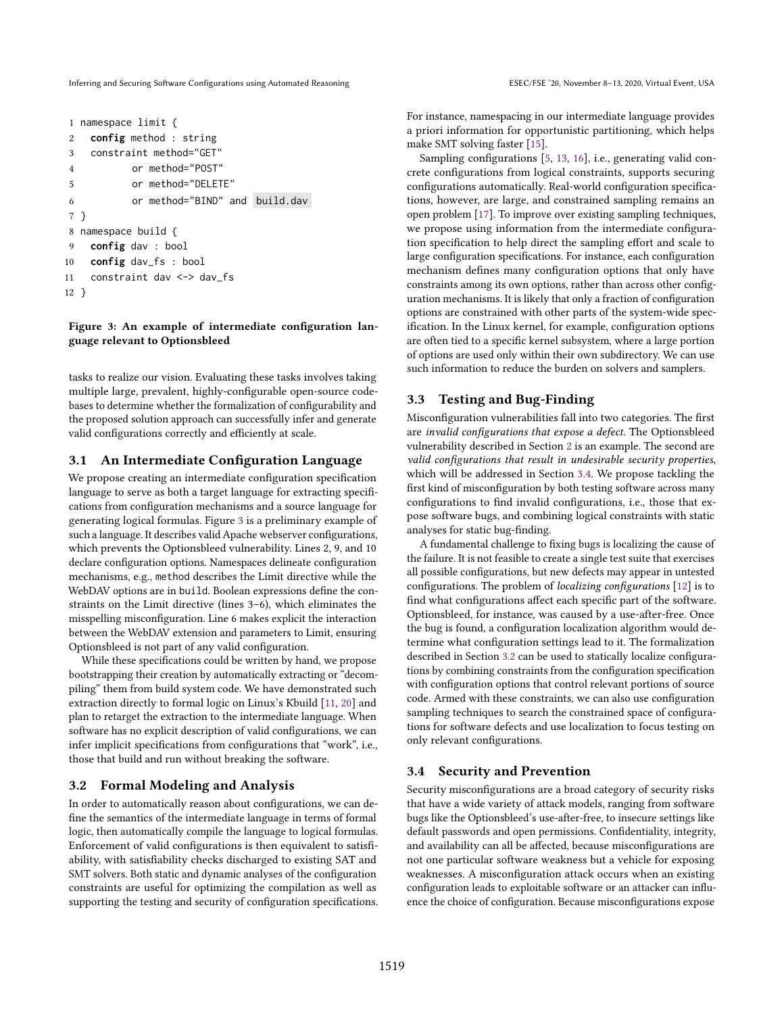Inferring and Securing Software Configurations using Automated Reasoning Figure 20, November 8–13, 2020, Virtual Event, USA

```
1 namespace limit {
2 config method : string
3 constraint method="GET"
4 or method="POST"
5 or method="DELETE"
6 or method="BIND" and build.dav
7 }
8 namespace build {
9 config dav : bool
10 config dav_fs : bool
11 constraint dav <-> dav_fs
12 }
```
#### Figure 3: An example of intermediate configuration language relevant to Optionsbleed

tasks to realize our vision. Evaluating these tasks involves taking multiple large, prevalent, highly-configurable open-source codebases to determine whether the formalization of configurability and the proposed solution approach can successfully infer and generate valid configurations correctly and efficiently at scale.

# 3.1 An Intermediate Configuration Language

We propose creating an intermediate configuration specification language to serve as both a target language for extracting specifications from configuration mechanisms and a source language for generating logical formulas. Figure [3](#page-2-0) is a preliminary example of such a language. It describes valid Apache webserver configurations, which prevents the Optionsbleed vulnerability. Lines 2, 9, and 10 declare configuration options. Namespaces delineate configuration mechanisms, e.g., method describes the Limit directive while the WebDAV options are in build. Boolean expressions define the constraints on the Limit directive (lines 3–6), which eliminates the misspelling misconfiguration. Line 6 makes explicit the interaction between the WebDAV extension and parameters to Limit, ensuring Optionsbleed is not part of any valid configuration.

While these specifications could be written by hand, we propose bootstrapping their creation by automatically extracting or "decompiling" them from build system code. We have demonstrated such extraction directly to formal logic on Linux's Kbuild [\[11,](#page-3-19) [20\]](#page-3-22) and plan to retarget the extraction to the intermediate language. When software has no explicit description of valid configurations, we can infer implicit specifications from configurations that "work", i.e., those that build and run without breaking the software.

# <span id="page-2-2"></span>3.2 Formal Modeling and Analysis

In order to automatically reason about configurations, we can define the semantics of the intermediate language in terms of formal logic, then automatically compile the language to logical formulas. Enforcement of valid configurations is then equivalent to satisfiability, with satisfiability checks discharged to existing SAT and SMT solvers. Both static and dynamic analyses of the configuration constraints are useful for optimizing the compilation as well as supporting the testing and security of configuration specifications. For instance, namespacing in our intermediate language provides a priori information for opportunistic partitioning, which helps make SMT solving faster [\[15\]](#page-3-24).

Sampling configurations [\[5,](#page-3-25) [13,](#page-3-26) [16\]](#page-3-27), i.e., generating valid concrete configurations from logical constraints, supports securing configurations automatically. Real-world configuration specifications, however, are large, and constrained sampling remains an open problem [\[17\]](#page-3-28). To improve over existing sampling techniques, we propose using information from the intermediate configuration specification to help direct the sampling effort and scale to large configuration specifications. For instance, each configuration mechanism defines many configuration options that only have constraints among its own options, rather than across other configuration mechanisms. It is likely that only a fraction of configuration options are constrained with other parts of the system-wide specification. In the Linux kernel, for example, configuration options are often tied to a specific kernel subsystem, where a large portion of options are used only within their own subdirectory. We can use such information to reduce the burden on solvers and samplers.

# 3.3 Testing and Bug-Finding

Misconfiguration vulnerabilities fall into two categories. The first are invalid configurations that expose a defect. The Optionsbleed vulnerability described in Section [2](#page-1-2) is an example. The second are valid configurations that result in undesirable security properties, which will be addressed in Section [3.4.](#page-2-1) We propose tackling the first kind of misconfiguration by both testing software across many configurations to find invalid configurations, i.e., those that expose software bugs, and combining logical constraints with static analyses for static bug-finding.

A fundamental challenge to fixing bugs is localizing the cause of the failure. It is not feasible to create a single test suite that exercises all possible configurations, but new defects may appear in untested configurations. The problem of localizing configurations [\[12\]](#page-3-29) is to find what configurations affect each specific part of the software. Optionsbleed, for instance, was caused by a use-after-free. Once the bug is found, a configuration localization algorithm would determine what configuration settings lead to it. The formalization described in Section [3.2](#page-2-2) can be used to statically localize configurations by combining constraints from the configuration specification with configuration options that control relevant portions of source code. Armed with these constraints, we can also use configuration sampling techniques to search the constrained space of configurations for software defects and use localization to focus testing on only relevant configurations.

## <span id="page-2-1"></span>3.4 Security and Prevention

Security misconfigurations are a broad category of security risks that have a wide variety of attack models, ranging from software bugs like the Optionsbleed's use-after-free, to insecure settings like default passwords and open permissions. Confidentiality, integrity, and availability can all be affected, because misconfigurations are not one particular software weakness but a vehicle for exposing weaknesses. A misconfiguration attack occurs when an existing configuration leads to exploitable software or an attacker can influence the choice of configuration. Because misconfigurations expose